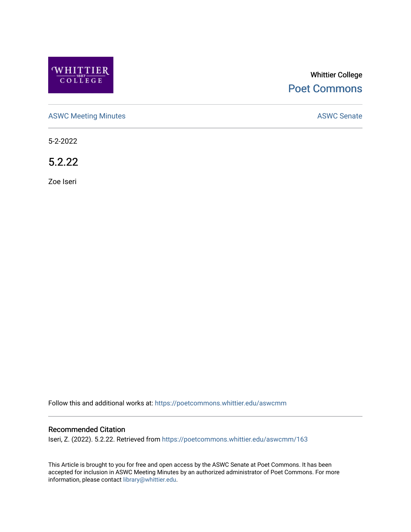

# Whittier College [Poet Commons](https://poetcommons.whittier.edu/)

[ASWC Meeting Minutes](https://poetcommons.whittier.edu/aswcmm) **ASWC Senate** 

5-2-2022

5.2.22

Zoe Iseri

Follow this and additional works at: [https://poetcommons.whittier.edu/aswcmm](https://poetcommons.whittier.edu/aswcmm?utm_source=poetcommons.whittier.edu%2Faswcmm%2F163&utm_medium=PDF&utm_campaign=PDFCoverPages)

#### Recommended Citation

Iseri, Z. (2022). 5.2.22. Retrieved from [https://poetcommons.whittier.edu/aswcmm/163](https://poetcommons.whittier.edu/aswcmm/163?utm_source=poetcommons.whittier.edu%2Faswcmm%2F163&utm_medium=PDF&utm_campaign=PDFCoverPages) 

This Article is brought to you for free and open access by the ASWC Senate at Poet Commons. It has been accepted for inclusion in ASWC Meeting Minutes by an authorized administrator of Poet Commons. For more information, please contact [library@whittier.edu.](mailto:library@whittier.edu)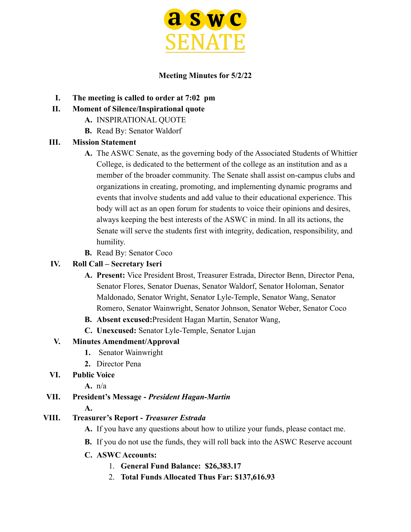

#### **Meeting Minutes for 5/2/22**

- **I. The meeting is called to order at 7:02 pm**
- **II. Moment of Silence/Inspirational quote**
	- **A.** INSPIRATIONAL QUOTE
	- **B.** Read By: Senator Waldorf

### **III. Mission Statement**

- **A.** The ASWC Senate, as the governing body of the Associated Students of Whittier College, is dedicated to the betterment of the college as an institution and as a member of the broader community. The Senate shall assist on-campus clubs and organizations in creating, promoting, and implementing dynamic programs and events that involve students and add value to their educational experience. This body will act as an open forum for students to voice their opinions and desires, always keeping the best interests of the ASWC in mind. In all its actions, the Senate will serve the students first with integrity, dedication, responsibility, and humility.
- **B.** Read By: Senator Coco

## **IV. Roll Call – Secretary Iseri**

- **A. Present:** Vice President Brost, Treasurer Estrada, Director Benn, Director Pena, Senator Flores, Senator Duenas, Senator Waldorf, Senator Holoman, Senator Maldonado, Senator Wright, Senator Lyle-Temple, Senator Wang, Senator Romero, Senator Wainwright, Senator Johnson, Senator Weber, Senator Coco
- **B. Absent excused:**President Hagan Martin, Senator Wang,
- **C. Unexcused:** Senator Lyle-Temple, Senator Lujan

### **V. Minutes Amendment/Approval**

- **1.** Senator Wainwright
- **2.** Director Pena
- **VI. Public Voice**
	- **A.** n/a

# **VII. President's Message -** *President Hagan-Martin*

### **A.**

# **VIII. Treasurer's Report -** *Treasurer Estrada*

- **A.** If you have any questions about how to utilize your funds, please contact me.
- **B.** If you do not use the funds, they will roll back into the ASWC Reserve account
- **C. ASWC Accounts:**
	- 1. **General Fund Balance: \$26,383.17**
	- 2. **Total Funds Allocated Thus Far: \$137,616.93**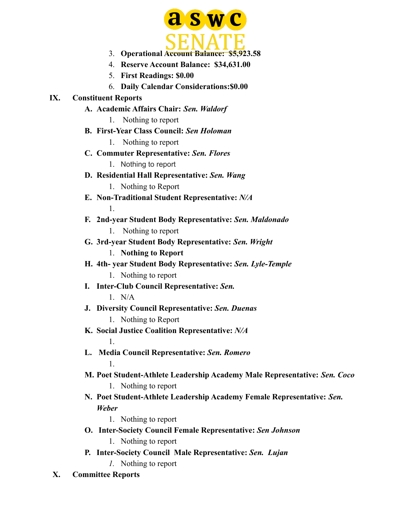

- 3. **Operational Account Balance: \$5,923.58**
- 4. **Reserve Account Balance: \$34,631.00**
- 5. **First Readings: \$0.00**
- 6. **Daily Calendar Considerations:\$0.00**

#### **IX. Constituent Reports**

1.

1.

1.

- **A. Academic Affairs Chair:** *Sen. Waldorf*
	- 1. Nothing to report
- **B. First-Year Class Council:** *Sen Holoman* 1. Nothing to report
- **C. Commuter Representative:** *Sen. Flores* 1. Nothing to report
- **D. Residential Hall Representative:** *Sen. Wang* 1. Nothing to Report
- **E. Non-Traditional Student Representative:** *N/A*
- **F. 2nd-year Student Body Representative:** *Sen. Maldonado* 1. Nothing to report
- **G. 3rd-year Student Body Representative:** *Sen. Wright* 1. **Nothing to Report**
- **H. 4th- year Student Body Representative:** *Sen. Lyle-Temple* 1. Nothing to report
- **I. Inter-Club Council Representative:** *Sen.* 1. N/A
- **J. Diversity Council Representative:** *Sen. Duenas* 1. Nothing to Report
- **K. Social Justice Coalition Representative:** *N/A*
- **L. Media Council Representative:** *Sen. Romero*
- **M. Poet Student-Athlete Leadership Academy Male Representative:** *Sen. Coco* 1. Nothing to report
- **N. Poet Student-Athlete Leadership Academy Female Representative:** *Sen. Weber*
	- 1. Nothing to report
- **O. Inter-Society Council Female Representative:** *Sen Johnson*
	- 1. Nothing to report
- **P. Inter-Society Council Male Representative:** *Sen. Lujan*
	- *1.* Nothing to report
- **X. Committee Reports**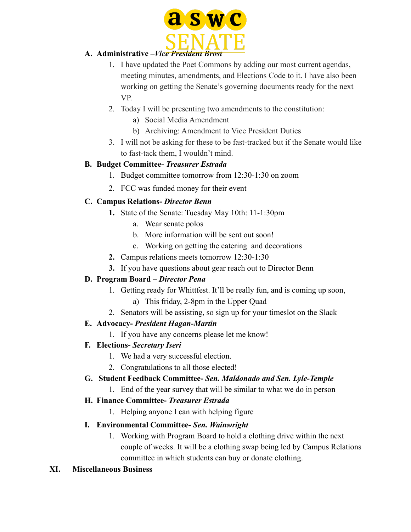

## **A. Administrative –***Vice President Brost*

- 1. I have updated the Poet Commons by adding our most current agendas, meeting minutes, amendments, and Elections Code to it. I have also been working on getting the Senate's governing documents ready for the next VP.
- 2. Today I will be presenting two amendments to the constitution:
	- a) Social Media Amendment
	- b) Archiving: Amendment to Vice President Duties
- 3. I will not be asking for these to be fast-tracked but if the Senate would like to fast-tack them, I wouldn't mind.

### **B. Budget Committee-** *Treasurer Estrada*

- 1. Budget committee tomorrow from 12:30-1:30 on zoom
- 2. FCC was funded money for their event

### **C. Campus Relations-** *Director Benn*

- **1.** State of the Senate: Tuesday May 10th: 11-1:30pm
	- a. Wear senate polos
	- b. More information will be sent out soon!
	- c. Working on getting the catering and decorations
- **2.** Campus relations meets tomorrow 12:30-1:30
- **3.** If you have questions about gear reach out to Director Benn

### **D. Program Board –** *Director Pena*

- 1. Getting ready for Whittfest. It'll be really fun, and is coming up soon,
	- a) This friday, 2-8pm in the Upper Quad
- 2. Senators will be assisting, so sign up for your timeslot on the Slack

### **E. Advocacy-** *President Hagan-Martin*

1. If you have any concerns please let me know!

### **F. Elections-** *Secretary Iseri*

- 1. We had a very successful election.
- 2. Congratulations to all those elected!

### **G. Student Feedback Committee-** *Sen. Maldonado and Sen. Lyle-Temple*

1. End of the year survey that will be similar to what we do in person

### **H. Finance Committee-** *Treasurer Estrada*

1. Helping anyone I can with helping figure

### **I. Environmental Committee-** *Sen. Wainwright*

1. Working with Program Board to hold a clothing drive within the next couple of weeks. It will be a clothing swap being led by Campus Relations committee in which students can buy or donate clothing.

### **XI. Miscellaneous Business**